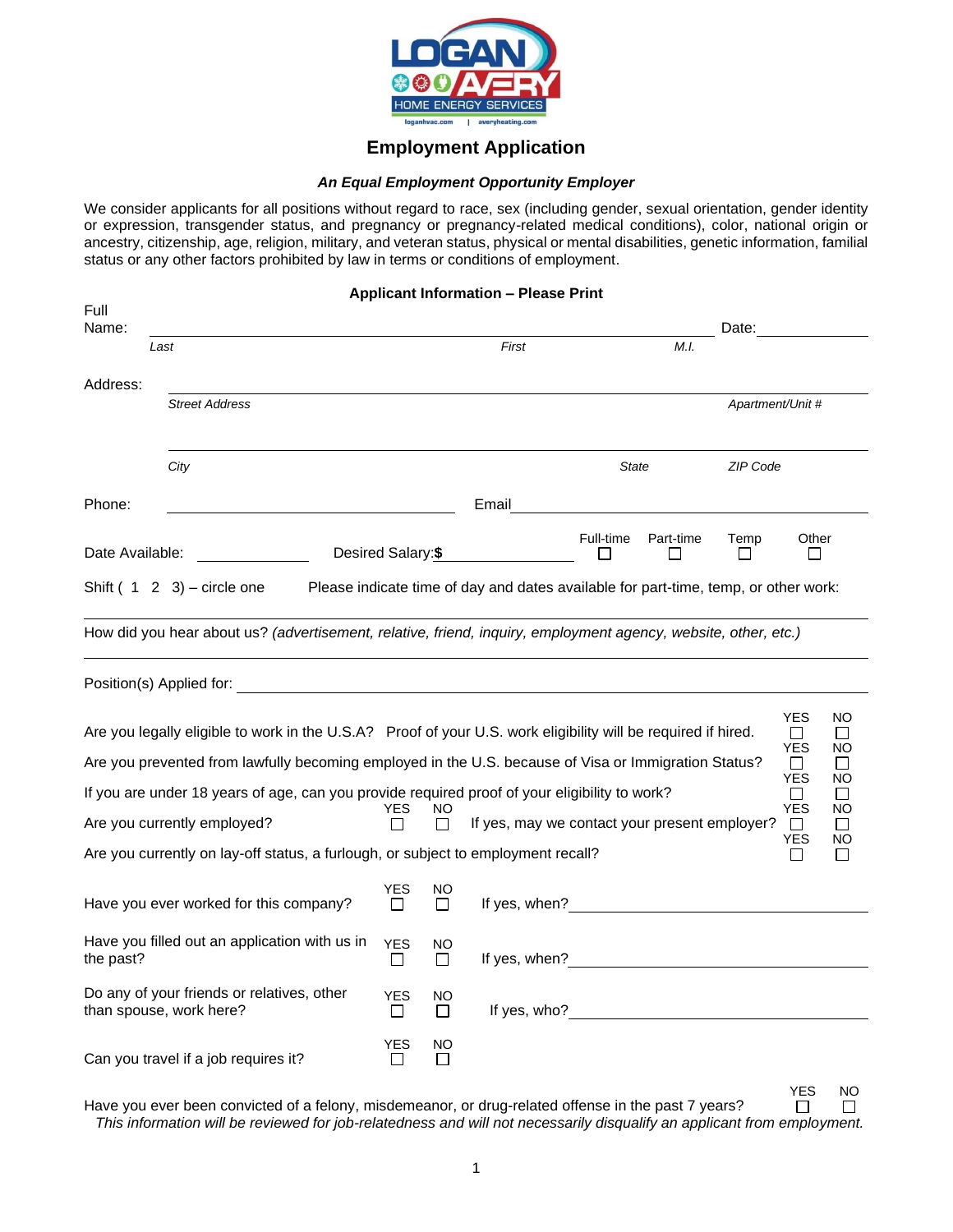

## **Employment Application**

## *An Equal Employment Opportunity Employer*

We consider applicants for all positions without regard to race, sex (including gender, sexual orientation, gender identity or expression, transgender status, and pregnancy or pregnancy-related medical conditions), color, national origin or ancestry, citizenship, age, religion, military, and veteran status, physical or mental disabilities, genetic information, familial status or any other factors prohibited by law in terms or conditions of employment.

| <b>Applicant Information - Please Print</b> |                                                                                                                                                                                                                       |                            |                    |                                                                                     |              |           |                      |                                              |                                |
|---------------------------------------------|-----------------------------------------------------------------------------------------------------------------------------------------------------------------------------------------------------------------------|----------------------------|--------------------|-------------------------------------------------------------------------------------|--------------|-----------|----------------------|----------------------------------------------|--------------------------------|
| Full<br>Name:                               |                                                                                                                                                                                                                       |                            |                    |                                                                                     |              |           | Date:                |                                              |                                |
|                                             | Last                                                                                                                                                                                                                  |                            |                    | First                                                                               |              | M.I.      |                      |                                              |                                |
| Address:                                    |                                                                                                                                                                                                                       |                            |                    |                                                                                     |              |           |                      |                                              |                                |
|                                             | <b>Street Address</b>                                                                                                                                                                                                 |                            |                    |                                                                                     |              |           | Apartment/Unit #     |                                              |                                |
|                                             | City                                                                                                                                                                                                                  |                            |                    |                                                                                     | <b>State</b> |           | ZIP Code             |                                              |                                |
| Phone:                                      |                                                                                                                                                                                                                       |                            |                    | Email                                                                               |              |           |                      |                                              |                                |
| Date Available:                             |                                                                                                                                                                                                                       | Desired Salary:\$          |                    |                                                                                     | Full-time    | Part-time | Temp<br>$\mathsf{L}$ | Other<br>l 1                                 |                                |
|                                             | Shift $(1 \ 2 \ 3)$ – circle one                                                                                                                                                                                      |                            |                    | Please indicate time of day and dates available for part-time, temp, or other work: |              |           |                      |                                              |                                |
|                                             | How did you hear about us? (advertisement, relative, friend, inquiry, employment agency, website, other, etc.)                                                                                                        |                            |                    |                                                                                     |              |           |                      |                                              |                                |
|                                             |                                                                                                                                                                                                                       |                            |                    |                                                                                     |              |           |                      |                                              |                                |
|                                             | Are you legally eligible to work in the U.S.A? Proof of your U.S. work eligibility will be required if hired.<br>Are you prevented from lawfully becoming employed in the U.S. because of Visa or Immigration Status? |                            |                    |                                                                                     |              |           |                      | <b>YES</b><br>$\Box$<br><b>YES</b><br>$\Box$ | NO<br>$\perp$<br>NO<br>$\perp$ |
|                                             | If you are under 18 years of age, can you provide required proof of your eligibility to work?                                                                                                                         |                            |                    |                                                                                     |              |           |                      | <b>YES</b><br>П                              | NO<br>$\mathsf{L}$             |
|                                             | Are you currently employed?                                                                                                                                                                                           | YES                        | NO<br>$\perp$      | If yes, may we contact your present employer?                                       |              |           |                      | <b>YES</b><br>$\Box$                         | NO<br>$\perp$                  |
|                                             | Are you currently on lay-off status, a furlough, or subject to employment recall?                                                                                                                                     |                            |                    |                                                                                     |              |           |                      | YES<br>$\perp$                               | <b>NO</b>                      |
|                                             | Have you ever worked for this company?                                                                                                                                                                                | <b>YES</b><br>$\perp$      | NO<br>П            |                                                                                     |              |           |                      |                                              |                                |
| the past?                                   | Have you filled out an application with us in                                                                                                                                                                         | <b>YES</b><br>ш            | ΝO<br>□            |                                                                                     |              |           |                      |                                              |                                |
|                                             | Do any of your friends or relatives, other<br>than spouse, work here?                                                                                                                                                 | <b>YES</b><br>$\Box$       | NO<br>$\Box$       |                                                                                     |              |           |                      |                                              |                                |
|                                             | Can you travel if a job requires it?                                                                                                                                                                                  | <b>YES</b><br>$\mathbf{L}$ | NO<br>$\mathsf{L}$ |                                                                                     |              |           |                      |                                              |                                |

YES NO<br>  $\Box$   $\Box$ Have you ever been convicted of a felony, misdemeanor, or drug-related offense in the past 7 years?  $\Box$ *This information will be reviewed for job-relatedness and will not necessarily disqualify an applicant from employment.*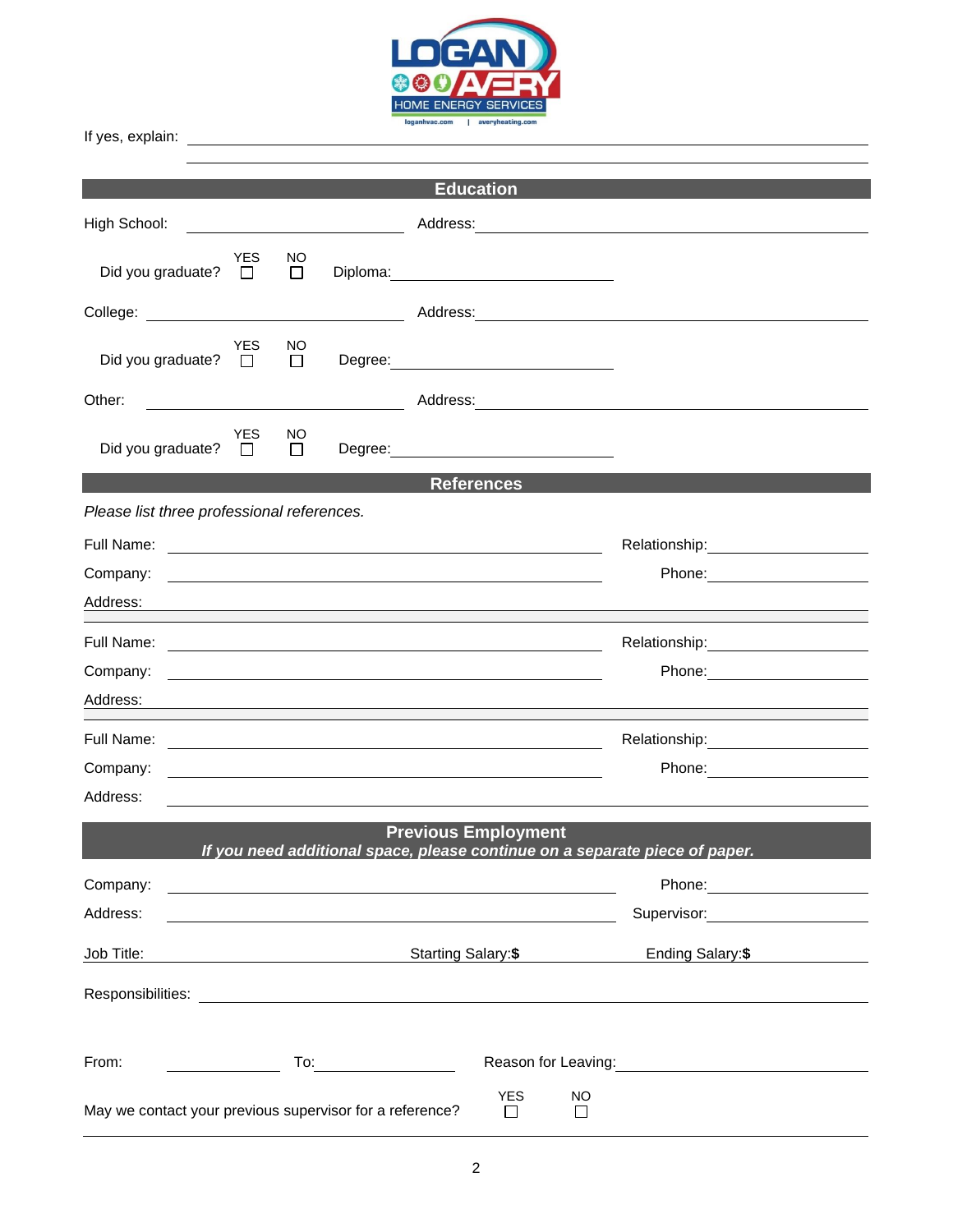

|                                                                                                                                                                                                                                | <b>Education</b>                                                                                                                                                                                                                     |
|--------------------------------------------------------------------------------------------------------------------------------------------------------------------------------------------------------------------------------|--------------------------------------------------------------------------------------------------------------------------------------------------------------------------------------------------------------------------------------|
| High School:                                                                                                                                                                                                                   |                                                                                                                                                                                                                                      |
| <b>YES</b><br>NO.<br>Did you graduate? $\square$<br>$\Box$                                                                                                                                                                     |                                                                                                                                                                                                                                      |
|                                                                                                                                                                                                                                | Address: National Address and Address and Address and Address and Address and Address and Address and Address and Address and Address and Address and Address and Address and Address and Address and Address and Address and        |
| YES<br>NO<br>Did you graduate? $\Box$<br>$\Box$                                                                                                                                                                                |                                                                                                                                                                                                                                      |
| Other:<br><u> The Communication of the Communication of the Communication of the Communication of the Communication of</u>                                                                                                     |                                                                                                                                                                                                                                      |
| <b>YES</b><br>NO.<br>Did you graduate? $\square$<br>$\Box$                                                                                                                                                                     |                                                                                                                                                                                                                                      |
|                                                                                                                                                                                                                                | <b>References</b>                                                                                                                                                                                                                    |
| Please list three professional references.                                                                                                                                                                                     |                                                                                                                                                                                                                                      |
|                                                                                                                                                                                                                                |                                                                                                                                                                                                                                      |
| Company:                                                                                                                                                                                                                       | Phone: ________________________                                                                                                                                                                                                      |
| Address:                                                                                                                                                                                                                       | <u> 1989 - Johann John Stone, Amerikaansk politiker († 1908)</u>                                                                                                                                                                     |
|                                                                                                                                                                                                                                |                                                                                                                                                                                                                                      |
| Company:                                                                                                                                                                                                                       | <u>se construir a comparador de la comparador de la comparador de la comparador de la comparador de la comparador de la comparador de la comparador de la comparador de la comparador de la comparador de la comparador de la co</u> |
|                                                                                                                                                                                                                                |                                                                                                                                                                                                                                      |
| Full Name:                                                                                                                                                                                                                     | Relationship: 2000<br><u> 1989 - Johann Stoff, deutscher Stoffen und der Stoffen und der Stoffen und der Stoffen und der Stoffen und der</u>                                                                                         |
| Company:                                                                                                                                                                                                                       |                                                                                                                                                                                                                                      |
| Address:                                                                                                                                                                                                                       | <u> 1989 - Johann Stoff, amerikansk politiker (d. 1989)</u>                                                                                                                                                                          |
|                                                                                                                                                                                                                                | <b>Previous Employment</b><br>If you need additional space, please continue on a separate piece of paper.                                                                                                                            |
| Company:                                                                                                                                                                                                                       | Phone: ______________________                                                                                                                                                                                                        |
| Address:                                                                                                                                                                                                                       | Supervisor: <b>Example 2019</b>                                                                                                                                                                                                      |
| Job Title:<br>Starting Salary:\$                                                                                                                                                                                               | Ending Salary:\$                                                                                                                                                                                                                     |
| Responsibilities: Les and the set of the set of the set of the set of the set of the set of the set of the set of the set of the set of the set of the set of the set of the set of the set of the set of the set of the set o |                                                                                                                                                                                                                                      |
| From:                                                                                                                                                                                                                          | To: the contract of the contract of the contract of the contract of the contract of the contract of the contract of the contract of the contract of the contract of the contract of the contract of the contract of the contra       |
| May we contact your previous supervisor for a reference?                                                                                                                                                                       | <b>YES</b><br><b>NO</b><br>П<br>П                                                                                                                                                                                                    |